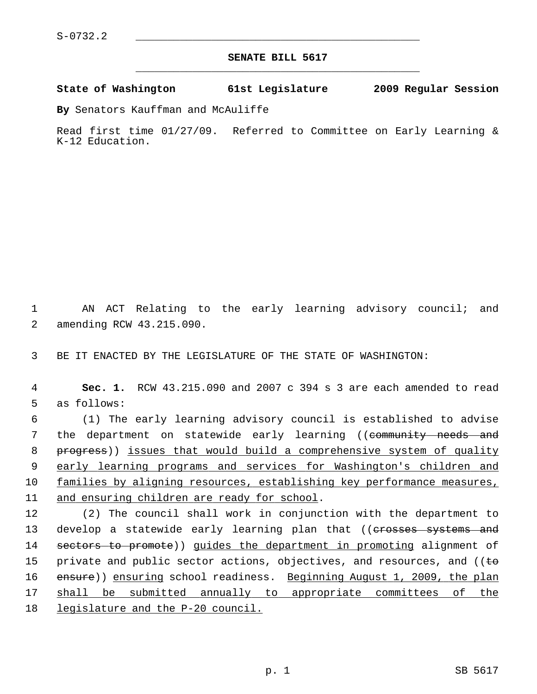## **SENATE BILL 5617** \_\_\_\_\_\_\_\_\_\_\_\_\_\_\_\_\_\_\_\_\_\_\_\_\_\_\_\_\_\_\_\_\_\_\_\_\_\_\_\_\_\_\_\_\_

## **State of Washington 61st Legislature 2009 Regular Session**

**By** Senators Kauffman and McAuliffe

Read first time 01/27/09. Referred to Committee on Early Learning & K-12 Education.

 1 AN ACT Relating to the early learning advisory council; and 2 amending RCW 43.215.090.

3 BE IT ENACTED BY THE LEGISLATURE OF THE STATE OF WASHINGTON:

 4 **Sec. 1.** RCW 43.215.090 and 2007 c 394 s 3 are each amended to read 5 as follows:

 6 (1) The early learning advisory council is established to advise 7 the department on statewide early learning ((community needs and 8 progress)) issues that would build a comprehensive system of quality 9 early learning programs and services for Washington's children and 10 families by aligning resources, establishing key performance measures, 11 and ensuring children are ready for school.

12 (2) The council shall work in conjunction with the department to 13 develop a statewide early learning plan that ((erosses systems and 14 sectors to promote)) guides the department in promoting alignment of 15 private and public sector actions, objectives, and resources, and ( $\theta$ ) 16 ensure)) ensuring school readiness. Beginning August 1, 2009, the plan 17 shall be submitted annually to appropriate committees of the 18 legislature and the P-20 council.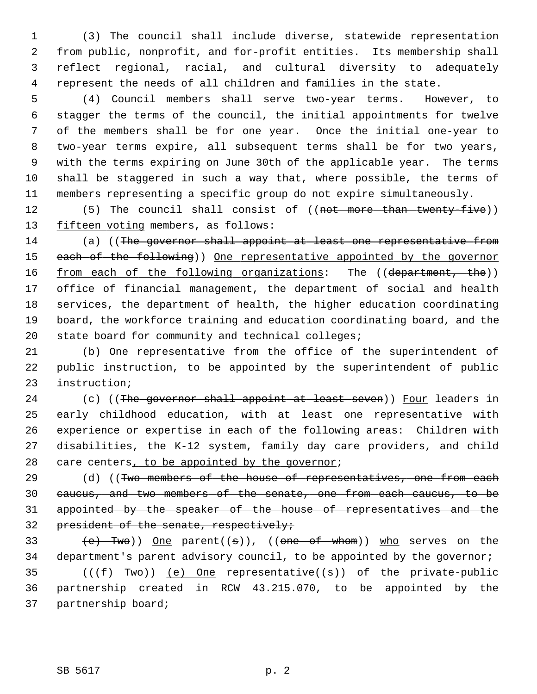1 (3) The council shall include diverse, statewide representation 2 from public, nonprofit, and for-profit entities. Its membership shall 3 reflect regional, racial, and cultural diversity to adequately 4 represent the needs of all children and families in the state.

 5 (4) Council members shall serve two-year terms. However, to 6 stagger the terms of the council, the initial appointments for twelve 7 of the members shall be for one year. Once the initial one-year to 8 two-year terms expire, all subsequent terms shall be for two years, 9 with the terms expiring on June 30th of the applicable year. The terms 10 shall be staggered in such a way that, where possible, the terms of 11 members representing a specific group do not expire simultaneously.

12 (5) The council shall consist of ((not more than twenty-five)) 13 fifteen voting members, as follows:

14 (a) ((The governor shall appoint at least one representative from 15 each of the following)) One representative appointed by the governor 16 from each of the following organizations: The ((department, the)) 17 office of financial management, the department of social and health 18 services, the department of health, the higher education coordinating 19 board, the workforce training and education coordinating board, and the 20 state board for community and technical colleges;

21 (b) One representative from the office of the superintendent of 22 public instruction, to be appointed by the superintendent of public 23 instruction;

24 (c) ((The governor shall appoint at least seven)) Four leaders in 25 early childhood education, with at least one representative with 26 experience or expertise in each of the following areas: Children with 27 disabilities, the K-12 system, family day care providers, and child 28 care centers, to be appointed by the governor;

29 (d) ((Two members of the house of representatives, one from each 30 caucus, and two members of the senate, one from each caucus, to be 31 appointed by the speaker of the house of representatives and the 32 president of the senate, respectively;

33  $(e)$  Two)) One parent((s)), ((one of whom)) who serves on the 34 department's parent advisory council, to be appointed by the governor;

35 ( $(\overline{f} + \overline{f}w\overline{o})$ ) (e) One representative((s)) of the private-public 36 partnership created in RCW 43.215.070, to be appointed by the 37 partnership board;